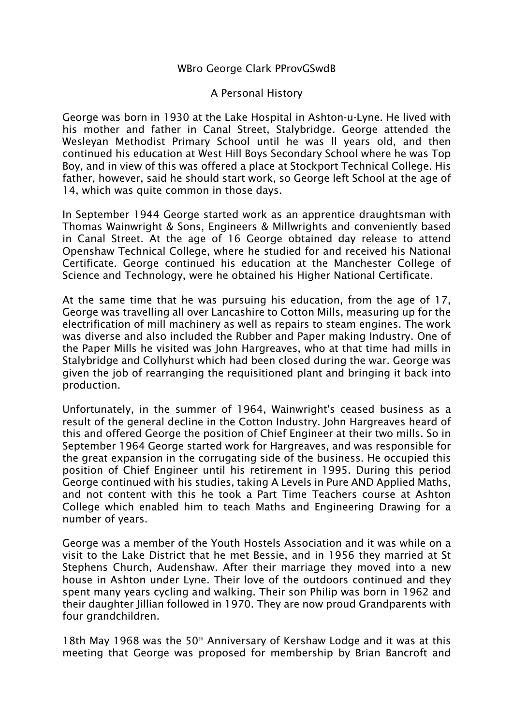## WBro George Clark PProvGSwdB

## A Personal History

George was born in 1930 at the Lake Hospital in Ashton-u-Lyne. He lived with his mother and father in Canal Street, Stalybridge. George attended the Wesleyan Methodist Primary School until he was ll years old, and then continued his education at West Hill Boys Secondary School where he was Top Boy, and in view of this was offered a place at Stockport Technical College. His father, however, said he should start work, so George left School at the age of 14, which was quite common in those days.

In September 1944 George started work as an apprentice draughtsman with Thomas Wainwright & Sons, Engineers & Millwrights and conveniently based in Canal Street. At the age of 16 George obtained day release to attend Openshaw Technical College, where he studied for and received his National Certificate. George continued his education at the Manchester College of Science and Technology, were he obtained his Higher National Certificate.

At the same time that he was pursuing his education, from the age of 17, George was travelling all over Lancashire to Cotton Mills, measuring up for the electrification of mill machinery as well as repairs to steam engines. The work was diverse and also included the Rubber and Paper making Industry. One of the Paper Mills he visited was John Hargreaves, who at that time had mills in Stalybridge and Collyhurst which had been closed during the war. George was given the job of rearranging the requisitioned plant and bringing it back into production.

Unfortunately, in the summer of 1964, Wainwright's ceased business as a result of the general decline in the Cotton Industry. John Hargreaves heard of this and offered George the position of Chief Engineer at their two mills. So in September 1964 George started work for Hargreaves, and was responsible for the great expansion in the corrugating side of the business. He occupied this position of Chief Engineer until his retirement in 1995. During this period George continued with his studies, taking A Levels in Pure AND Applied Maths, and not content with this he took a Part Time Teachers course at Ashton College which enabled him to teach Maths and Engineering Drawing for a number of years.

George was a member of the Youth Hostels Association and it was while on a visit to the Lake District that he met Bessie, and in 1956 they married at St Stephens Church, Audenshaw. After their marriage they moved into a new house in Ashton under Lyne. Their love of the outdoors continued and they spent many years cycling and walking. Their son Philip was born in 1962 and their daughter Jillian followed in 1970. They are now proud Grandparents with four grandchildren.

18th May 1968 was the 50<sup>th</sup> Anniversary of Kershaw Lodge and it was at this meeting that George was proposed for membership by Brian Bancroft and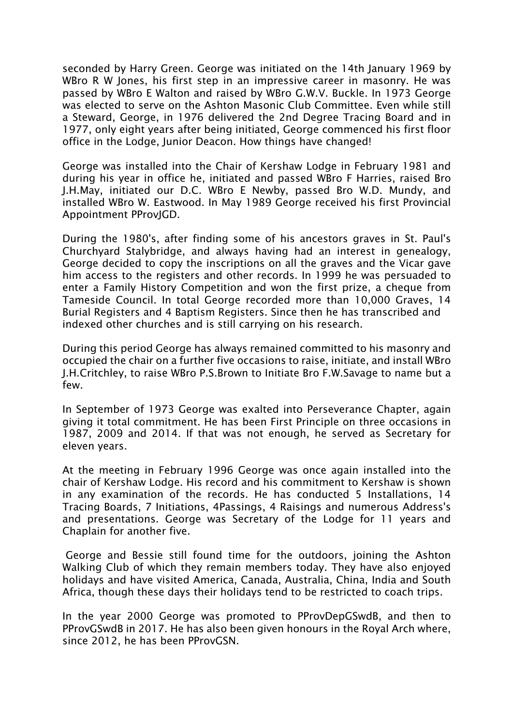seconded by Harry Green. George was initiated on the 14th January 1969 by WBro R W Jones, his first step in an impressive career in masonry. He was passed by WBro E Walton and raised by WBro G.W.V. Buckle. In 1973 George was elected to serve on the Ashton Masonic Club Committee. Even while still a Steward, George, in 1976 delivered the 2nd Degree Tracing Board and in 1977, only eight years after being initiated, George commenced his first floor office in the Lodge, Junior Deacon. How things have changed!

George was installed into the Chair of Kershaw Lodge in February 1981 and during his year in office he, initiated and passed WBro F Harries, raised Bro J.H.May, initiated our D.C. WBro E Newby, passed Bro W.D. Mundy, and installed WBro W. Eastwood. In May 1989 George received his first Provincial Appointment PProvJGD.

During the 1980's, after finding some of his ancestors graves in St. Paul's Churchyard Stalybridge, and always having had an interest in genealogy, George decided to copy the inscriptions on all the graves and the Vicar gave him access to the registers and other records. In 1999 he was persuaded to enter a Family History Competition and won the first prize, a cheque from Tameside Council. In total George recorded more than 10,000 Graves, 14 Burial Registers and 4 Baptism Registers. Since then he has transcribed and indexed other churches and is still carrying on his research.

During this period George has always remained committed to his masonry and occupied the chair on a further five occasions to raise, initiate, and install WBro J.H.Critchley, to raise WBro P.S.Brown to Initiate Bro F.W.Savage to name but a few.

In September of 1973 George was exalted into Perseverance Chapter, again giving it total commitment. He has been First Principle on three occasions in 1987, 2009 and 2014. If that was not enough, he served as Secretary for eleven years.

At the meeting in February 1996 George was once again installed into the chair of Kershaw Lodge. His record and his commitment to Kershaw is shown in any examination of the records. He has conducted 5 Installations, 14 Tracing Boards, 7 Initiations, 4Passings, 4 Raisings and numerous Address's and presentations. George was Secretary of the Lodge for 11 years and Chaplain for another five.

George and Bessie still found time for the outdoors, joining the Ashton Walking Club of which they remain members today. They have also enjoyed holidays and have visited America, Canada, Australia, China, India and South Africa, though these days their holidays tend to be restricted to coach trips.

In the year 2000 George was promoted to PProvDepGSwdB, and then to PProvGSwdB in 2017. He has also been given honours in the Royal Arch where, since 2012, he has been PProvGSN.